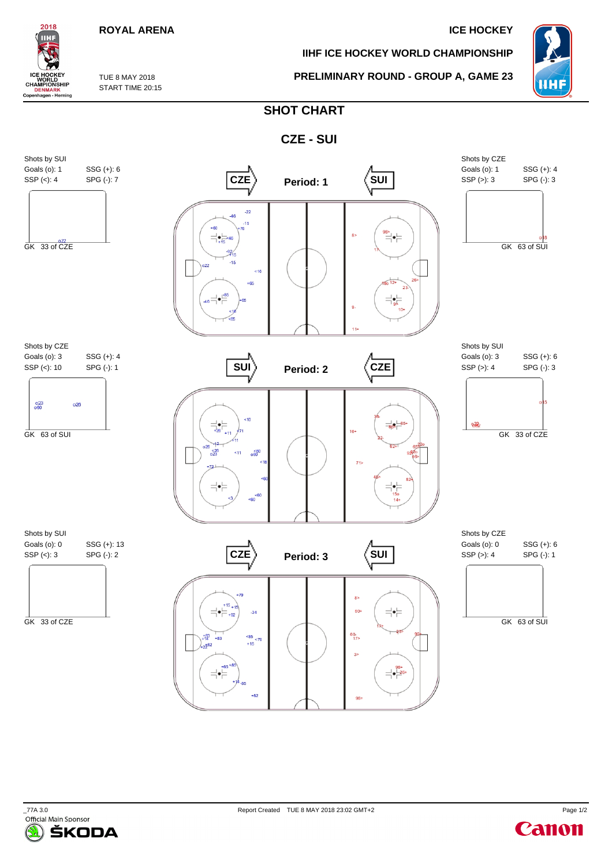## **ROYAL ARENA ICE HOCKEY**

**IIHF ICE HOCKEY WORLD CHAMPIONSHIP**

**PRELIMINARY ROUND - GROUP A, GAME 23**



TUE 8 MAY 2018 START TIME 20:15

2018 IIНI

CE HOCKEY<br>CHAMPIONSHIP<br>CHAMPIONSHIP<br>DENMARK<br>Copenhagen - Herning

## **SHOT CHART**





Canon